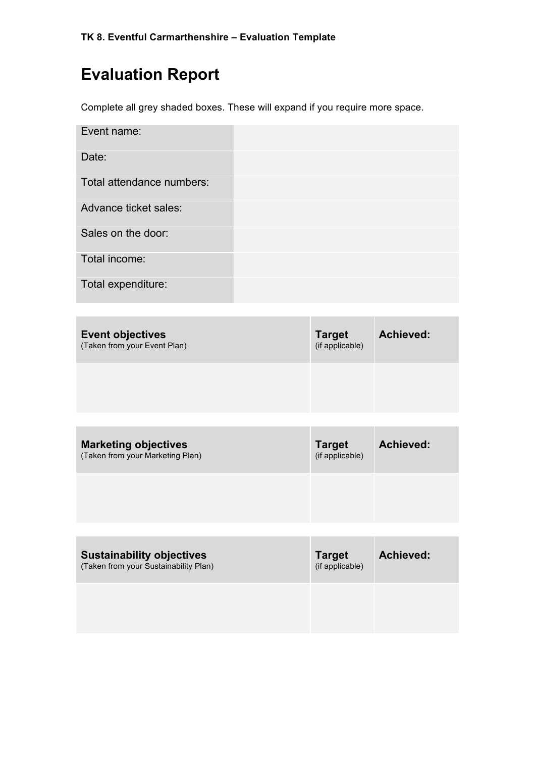# **Evaluation Report**

Complete all grey shaded boxes. These will expand if you require more space.

| Event name:               |  |
|---------------------------|--|
| Date:                     |  |
| Total attendance numbers: |  |
| Advance ticket sales:     |  |
| Sales on the door:        |  |
| Total income:             |  |
| Total expenditure:        |  |

| <b>Event objectives</b><br>(Taken from your Event Plan) | <b>Target</b><br>(if applicable) | <b>Achieved:</b> |
|---------------------------------------------------------|----------------------------------|------------------|
|                                                         |                                  |                  |

| <b>Marketing objectives</b><br>(Taken from your Marketing Plan) | <b>Target</b><br>(if applicable) | Achieved: |
|-----------------------------------------------------------------|----------------------------------|-----------|
|                                                                 |                                  |           |

| <b>Sustainability objectives</b><br>(Taken from your Sustainability Plan) | <b>Target</b><br>(if applicable) | <b>Achieved:</b> |
|---------------------------------------------------------------------------|----------------------------------|------------------|
|                                                                           |                                  |                  |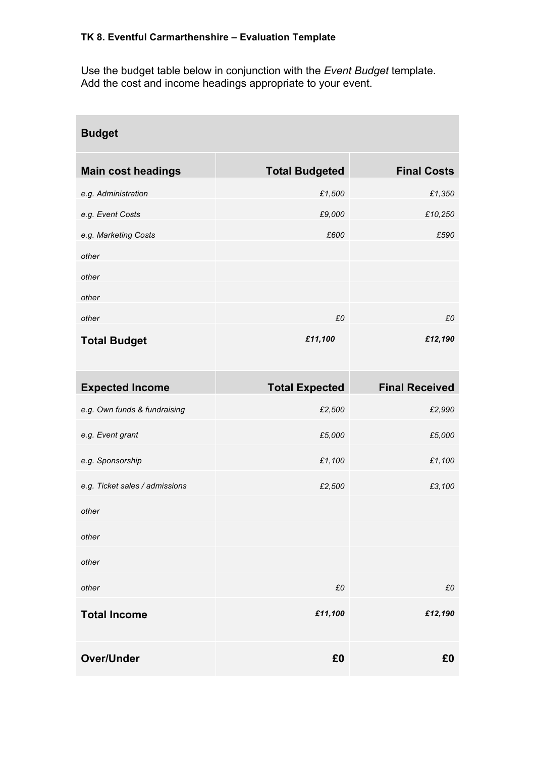Use the budget table below in conjunction with the *Event Budget* template. Add the cost and income headings appropriate to your event.

| <b>Budget</b>                  |                       |                       |
|--------------------------------|-----------------------|-----------------------|
| <b>Main cost headings</b>      | <b>Total Budgeted</b> | <b>Final Costs</b>    |
| e.g. Administration            | £1,500                | £1,350                |
| e.g. Event Costs               | £9,000                | £10,250               |
| e.g. Marketing Costs           | £600                  | £590                  |
| other                          |                       |                       |
| other                          |                       |                       |
| other                          |                       |                       |
| other                          | £0                    | £0                    |
| <b>Total Budget</b>            | £11,100               | £12,190               |
| <b>Expected Income</b>         | <b>Total Expected</b> | <b>Final Received</b> |
| e.g. Own funds & fundraising   | £2,500                | £2,990                |
| e.g. Event grant               | £5,000                | £5,000                |
| e.g. Sponsorship               | £1,100                | £1,100                |
| e.g. Ticket sales / admissions | £2,500                | £3,100                |
| other                          |                       |                       |
| other                          |                       |                       |
| other                          |                       |                       |
| other                          | £0                    | £0                    |
| <b>Total Income</b>            | £11,100               | £12,190               |
| <b>Over/Under</b>              | £0                    | £0                    |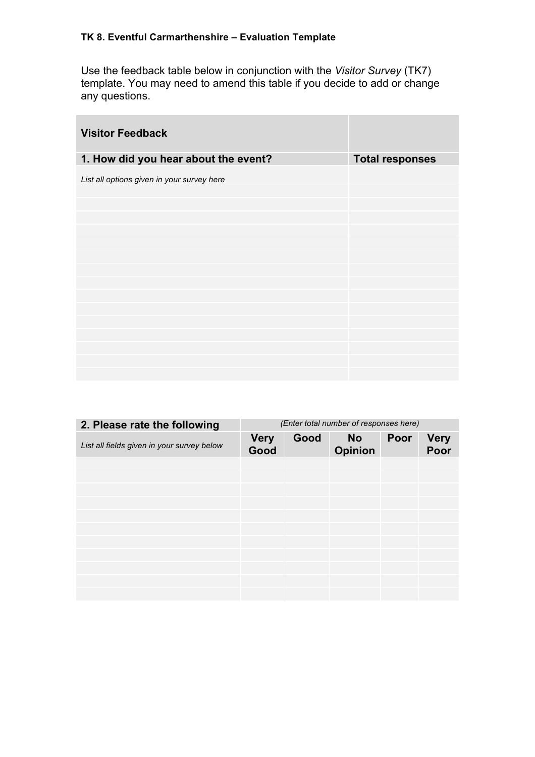Use the feedback table below in conjunction with the *Visitor Survey* (TK7) template. You may need to amend this table if you decide to add or change any questions.

| <b>Visitor Feedback</b>                    |                        |
|--------------------------------------------|------------------------|
| 1. How did you hear about the event?       | <b>Total responses</b> |
| List all options given in your survey here |                        |
|                                            |                        |
|                                            |                        |
|                                            |                        |
|                                            |                        |
|                                            |                        |
|                                            |                        |
|                                            |                        |
|                                            |                        |
|                                            |                        |
|                                            |                        |
|                                            |                        |
|                                            |                        |

| 2. Please rate the following               | (Enter total number of responses here) |      |                             |      |                     |
|--------------------------------------------|----------------------------------------|------|-----------------------------|------|---------------------|
| List all fields given in your survey below | <b>Very</b><br>Good                    | Good | <b>No</b><br><b>Opinion</b> | Poor | <b>Very</b><br>Poor |
|                                            |                                        |      |                             |      |                     |
|                                            |                                        |      |                             |      |                     |
|                                            |                                        |      |                             |      |                     |
|                                            |                                        |      |                             |      |                     |
|                                            |                                        |      |                             |      |                     |
|                                            |                                        |      |                             |      |                     |
|                                            |                                        |      |                             |      |                     |
|                                            |                                        |      |                             |      |                     |
|                                            |                                        |      |                             |      |                     |
|                                            |                                        |      |                             |      |                     |
|                                            |                                        |      |                             |      |                     |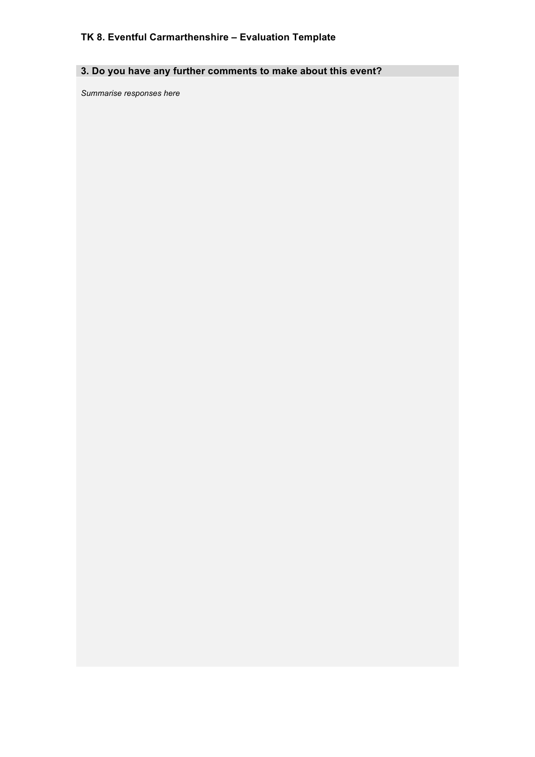# **3. Do you have any further comments to make about this event?**

*Summarise responses here*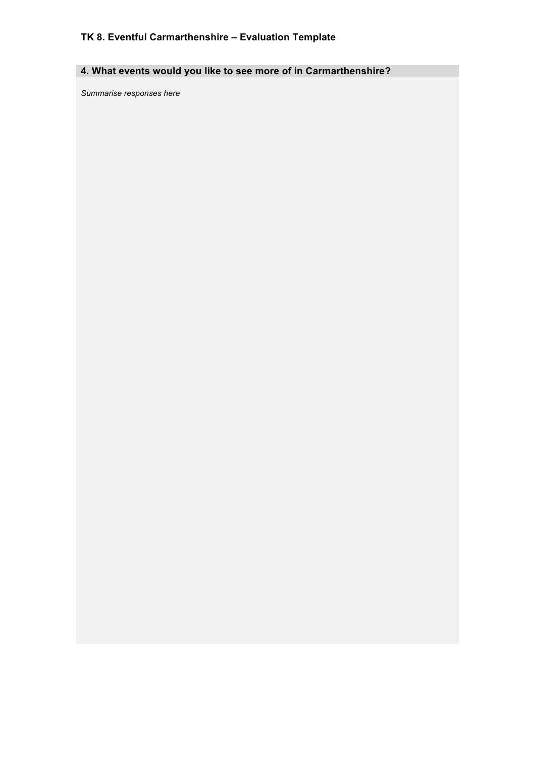# **4. What events would you like to see more of in Carmarthenshire?**

*Summarise responses here*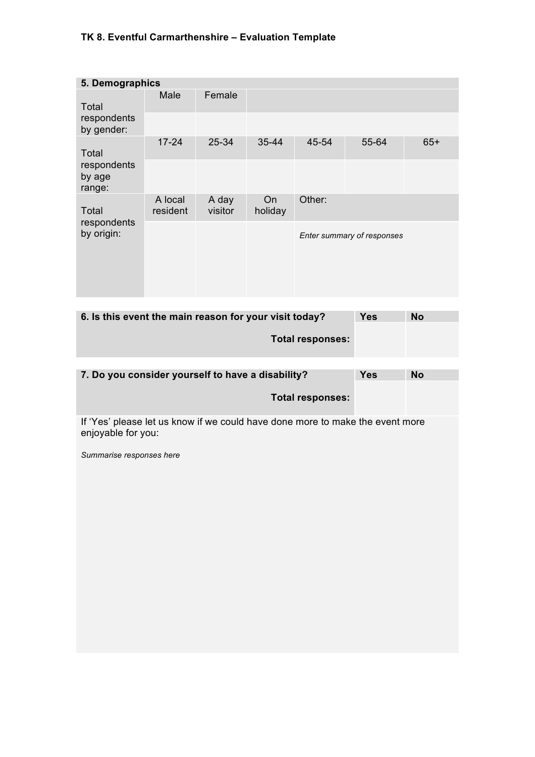| 5. Demographics                 |                     |                  |               |        |                            |       |
|---------------------------------|---------------------|------------------|---------------|--------|----------------------------|-------|
| Total                           | Male                | Female           |               |        |                            |       |
| respondents<br>by gender:       |                     |                  |               |        |                            |       |
| Total                           | $17 - 24$           | 25-34            | 35-44         | 45-54  | 55-64                      | $65+$ |
| respondents<br>by age<br>range: |                     |                  |               |        |                            |       |
| Total                           | A local<br>resident | A day<br>visitor | On<br>holiday | Other: |                            |       |
| respondents<br>by origin:       |                     |                  |               |        | Enter summary of responses |       |

| 6. Is this event the main reason for your visit today? |  | No |  |
|--------------------------------------------------------|--|----|--|
| Total responses:                                       |  |    |  |

| 7. Do you consider yourself to have a disability? | Yes | <b>No</b> |
|---------------------------------------------------|-----|-----------|
| Total responses:                                  |     |           |

If 'Yes' please let us know if we could have done more to make the event more enjoyable for you:

*Summarise responses here*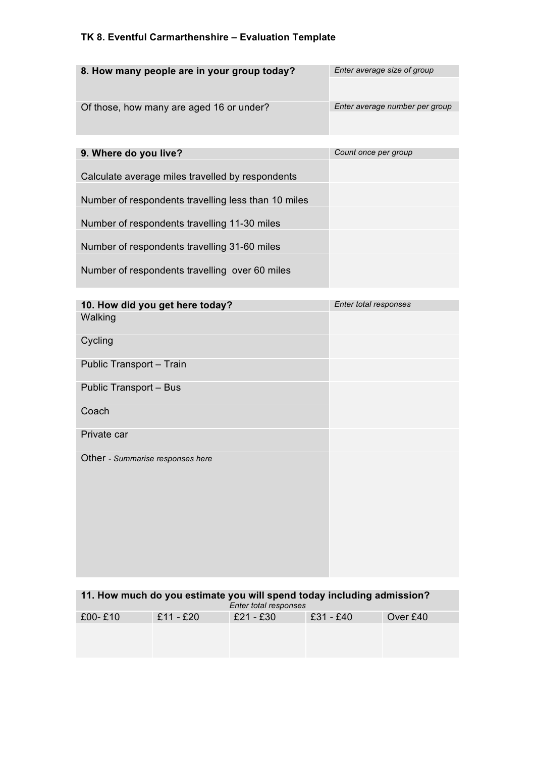| 8. How many people are in your group today?         | Enter average size of group    |
|-----------------------------------------------------|--------------------------------|
|                                                     |                                |
| Of those, how many are aged 16 or under?            | Enter average number per group |
|                                                     |                                |
|                                                     |                                |
| 9. Where do you live?                               | Count once per group           |
|                                                     |                                |
| Calculate average miles travelled by respondents    |                                |
|                                                     |                                |
|                                                     |                                |
| Number of respondents travelling less than 10 miles |                                |
|                                                     |                                |
| Number of respondents travelling 11-30 miles        |                                |
|                                                     |                                |
| Number of respondents travelling 31-60 miles        |                                |
|                                                     |                                |
|                                                     |                                |
| Number of respondents travelling over 60 miles      |                                |
|                                                     |                                |

| 10. How did you get here today?  | Enter total responses |
|----------------------------------|-----------------------|
| Walking                          |                       |
| Cycling                          |                       |
| Public Transport - Train         |                       |
| Public Transport - Bus           |                       |
| Coach                            |                       |
| Private car                      |                       |
| Other - Summarise responses here |                       |

| 11. How much do you estimate you will spend today including admission?<br>Enter total responses |           |           |           |          |  |
|-------------------------------------------------------------------------------------------------|-----------|-----------|-----------|----------|--|
| $£00 - £10$                                                                                     | £11 - £20 | £21 - £30 | £31 - £40 | Over £40 |  |
|                                                                                                 |           |           |           |          |  |
|                                                                                                 |           |           |           |          |  |
|                                                                                                 |           |           |           |          |  |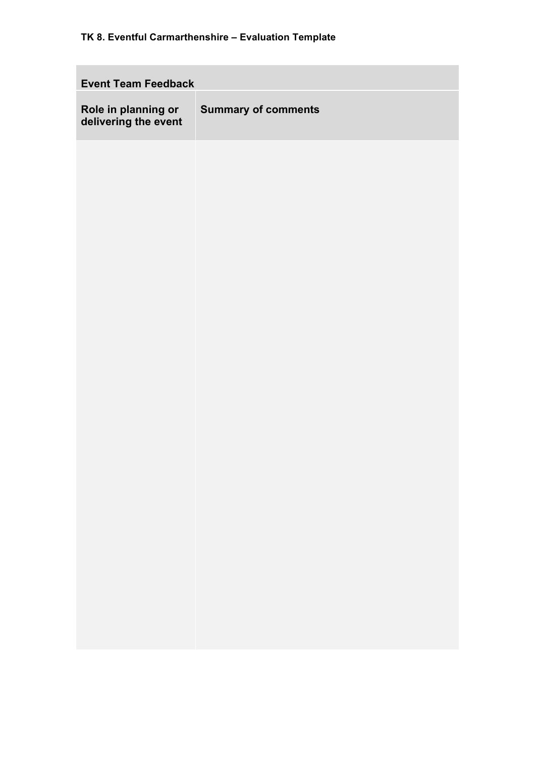| <b>Event Team Feedback</b>                  |                            |  |  |  |
|---------------------------------------------|----------------------------|--|--|--|
| Role in planning or<br>delivering the event | <b>Summary of comments</b> |  |  |  |
|                                             |                            |  |  |  |
|                                             |                            |  |  |  |
|                                             |                            |  |  |  |
|                                             |                            |  |  |  |
|                                             |                            |  |  |  |
|                                             |                            |  |  |  |
|                                             |                            |  |  |  |
|                                             |                            |  |  |  |
|                                             |                            |  |  |  |
|                                             |                            |  |  |  |
|                                             |                            |  |  |  |
|                                             |                            |  |  |  |
|                                             |                            |  |  |  |
|                                             |                            |  |  |  |
|                                             |                            |  |  |  |